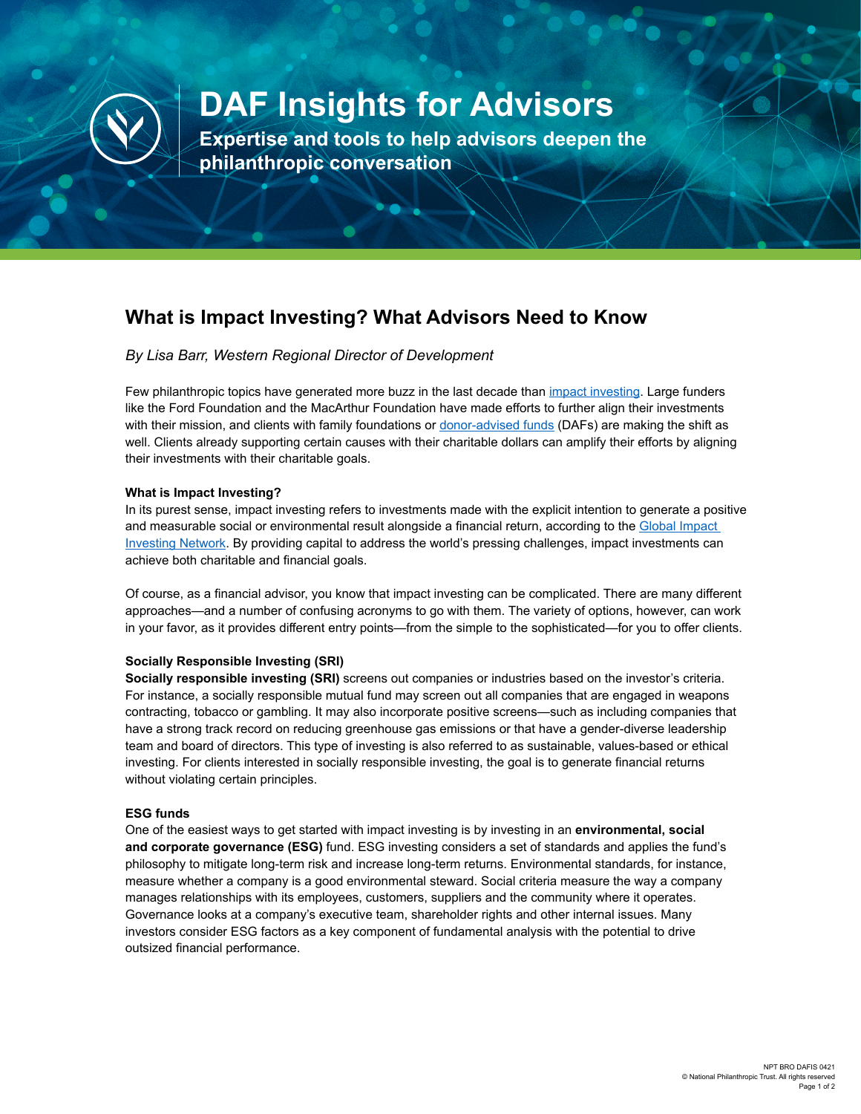

# **DAF Insights for Advisors**

**Expertise and tools to help advisors deepen the philanthropic conversation**

# **What is Impact Investing? What Advisors Need to Know**

## *By Lisa Barr, Western Regional Director of Development*

Few philanthropic topics have generated more buzz in the last decade than [impact investing](https://www.nptrust.org/impact-investing/). Large funders like the Ford Foundation and the MacArthur Foundation have made efforts to further align their investments with their mission, and clients with family foundations or [donor-advised funds](https://www.nptrust.org/what-is-a-donor-advised-fund/) (DAFs) are making the shift as well. Clients already supporting certain causes with their charitable dollars can amplify their efforts by aligning their investments with their charitable goals.

#### **What is Impact Investing?**

In its purest sense, impact investing refers to investments made with the explicit intention to generate a positive and measurable social or environmental result alongside a financial return, according to the [Global Impact](https://thegiin.org/impact-investing/)  [Investing Network.](https://thegiin.org/impact-investing/) By providing capital to address the world's pressing challenges, impact investments can achieve both charitable and financial goals.

Of course, as a financial advisor, you know that impact investing can be complicated. There are many different approaches—and a number of confusing acronyms to go with them. The variety of options, however, can work in your favor, as it provides different entry points—from the simple to the sophisticated—for you to offer clients.

### **Socially Responsible Investing (SRI)**

**Socially responsible investing (SRI)** screens out companies or industries based on the investor's criteria. For instance, a socially responsible mutual fund may screen out all companies that are engaged in weapons contracting, tobacco or gambling. It may also incorporate positive screens—such as including companies that have a strong track record on reducing greenhouse gas emissions or that have a gender-diverse leadership team and board of directors. This type of investing is also referred to as sustainable, values-based or ethical investing. For clients interested in socially responsible investing, the goal is to generate financial returns without violating certain principles.

### **ESG funds**

One of the easiest ways to get started with impact investing is by investing in an **environmental, social and corporate governance (ESG)** fund. ESG investing considers a set of standards and applies the fund's philosophy to mitigate long-term risk and increase long-term returns. Environmental standards, for instance, measure whether a company is a good environmental steward. Social criteria measure the way a company manages relationships with its employees, customers, suppliers and the community where it operates. Governance looks at a company's executive team, shareholder rights and other internal issues. Many investors consider ESG factors as a key component of fundamental analysis with the potential to drive outsized financial performance.